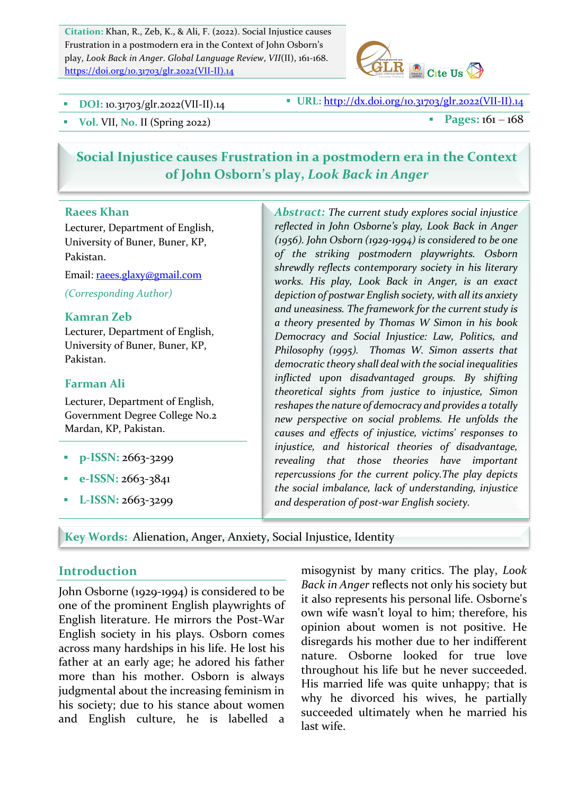Citation: Khan, R., Zeb, K., & Ali, F. (2022). Social Injustice causes Frustration in a postmodern era in the Context of John Osborn's play, Look Back in Anger. Global Language Review, VII(II), 161-168. https://doi.org/10.31703/glr.2022(VII-II).14



**DOI:** 10.31703/glr.2022(VII-II).14 **BEE**: **URL:** http://dx.doi.org/10.31703/glr.2022(VII-II).14

 $\bullet$  Vol. VII, No. II (Spring 2022) **a** Pages: 161 – 168

# **Social Injustice causes Frustration in a postmodern era in the Context** of John Osborn's play, *Look Back in Anger*

#### **Raees Khan**

Lecturer, Department of English, University of Buner, Buner, KP, Pakistan.

Email: raees.glaxy@gmail.com *(Corresponding Author)*

#### **Kamran Zeb**

Lecturer, Department of English, University of Buner, Buner, KP, Pakistan. 

#### **Farman Ali**

Lecturer, Department of English, Government Degree College No.2 Mardan, KP, Pakistan.

- **p**-ISSN: 2663-3299
- § **e-ISSN:** 2663-3841
- § **L-ISSN:** 2663-3299

Abstract: The current study explores social injustice reflected in John Osborne's play, Look Back in Anger (1956). John Osborn (1929-1994) is considered to be one *of the striking postmodern playwrights. Osborn*  shrewdly reflects contemporary society in his literary works. His play, Look Back in Anger, is an exact depiction of postwar English society, with all its anxiety and uneasiness. The framework for the current study is *a theory presented by Thomas W Simon in his book Democracy and Social Injustice: Law, Politics, and Philosophy* (1995). Thomas W. Simon asserts that democratic theory shall deal with the social inequalities *inflicted upon disadvantaged groups. By shifting theoretical sights from justice to injustice, Simon*  reshapes the nature of democracy and provides a totally *new perspective on social problems. He unfolds the causes and effects of injustice, victims' responses to injustice, and historical theories of disadvantage, revealing that those theories have important*  repercussions for the current policy. The play depicts the social imbalance, lack of understanding, injustice *and desperation of post-war English society.*

**Key Words: Alienation, Anger, Anxiety, Social Injustice, Identity** 

### **Introduction**

John Osborne (1929-1994) is considered to be one of the prominent English playwrights of English literature. He mirrors the Post-War English society in his plays. Osborn comes across many hardships in his life. He lost his father at an early age; he adored his father more than his mother. Osborn is always judgmental about the increasing feminism in his society; due to his stance about women and English culture, he is labelled a misogynist by many critics. The play, *Look Back in Anger* reflects not only his society but it also represents his personal life. Osborne's own wife wasn't loyal to him; therefore, his opinion about women is not positive. He disregards his mother due to her indifferent nature. Osborne looked for true love throughout his life but he never succeeded. His married life was quite unhappy; that is why he divorced his wives, he partially succeeded ultimately when he married his last wife.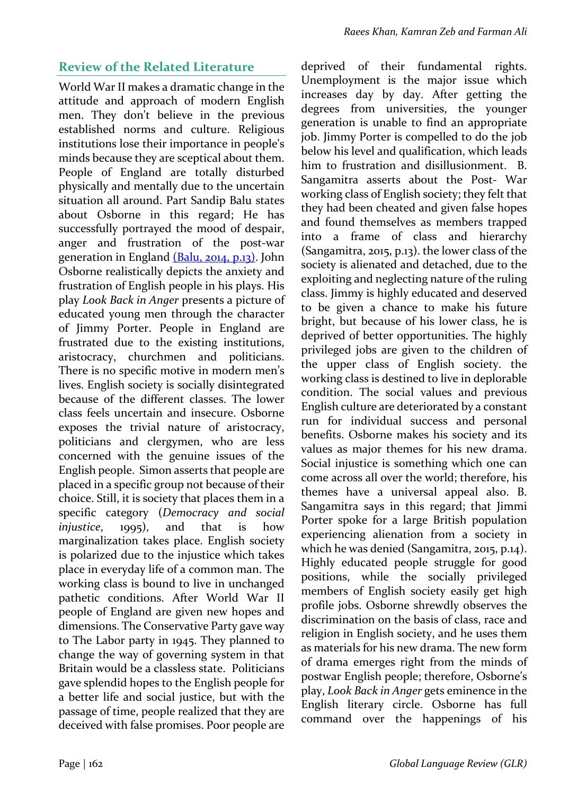## **Review of the Related Literature**

World War II makes a dramatic change in the attitude and approach of modern English men. They don't believe in the previous established norms and culture. Religious institutions lose their importance in people's minds because they are sceptical about them. People of England are totally disturbed physically and mentally due to the uncertain situation all around. Part Sandip Balu states about Osborne in this regard; He has successfully portrayed the mood of despair, anger and frustration of the post-war generation in England (Balu, 2014, p.13). John Osborne realistically depicts the anxiety and frustration of English people in his plays. His play *Look Back in Anger* presents a picture of educated young men through the character of Jimmy Porter. People in England are frustrated due to the existing institutions, aristocracy, churchmen and politicians. There is no specific motive in modern men's lives. English society is socially disintegrated because of the different classes. The lower class feels uncertain and insecure. Osborne exposes the trivial nature of aristocracy, politicians and clergymen, who are less concerned with the genuine issues of the English people. Simon asserts that people are placed in a specific group not because of their choice. Still, it is society that places them in a specific category (*Democracy and social injustice*, 1995), and that is how marginalization takes place. English society is polarized due to the injustice which takes place in everyday life of a common man. The working class is bound to live in unchanged pathetic conditions. After World War II people of England are given new hopes and dimensions. The Conservative Party gave way to The Labor party in 1945. They planned to change the way of governing system in that Britain would be a classless state. Politicians gave splendid hopes to the English people for a better life and social justice, but with the passage of time, people realized that they are deceived with false promises. Poor people are deprived of their fundamental rights. Unemployment is the major issue which increases day by day. After getting the degrees from universities, the younger generation is unable to find an appropriate job. Jimmy Porter is compelled to do the job below his level and qualification, which leads him to frustration and disillusionment. B. Sangamitra asserts about the Post- War working class of English society; they felt that they had been cheated and given false hopes and found themselves as members trapped into a frame of class and hierarchy (Sangamitra, 2015, p.13). the lower class of the society is alienated and detached, due to the exploiting and neglecting nature of the ruling class. Jimmy is highly educated and deserved to be given a chance to make his future bright, but because of his lower class, he is deprived of better opportunities. The highly privileged jobs are given to the children of the upper class of English society. the working class is destined to live in deplorable condition. The social values and previous English culture are deteriorated by a constant run for individual success and personal benefits. Osborne makes his society and its values as major themes for his new drama. Social injustice is something which one can come across all over the world; therefore, his themes have a universal appeal also. B. Sangamitra says in this regard; that Jimmi Porter spoke for a large British population experiencing alienation from a society in which he was denied (Sangamitra, 2015, p.14). Highly educated people struggle for good positions, while the socially privileged members of English society easily get high profile iobs. Osborne shrewdly observes the discrimination on the basis of class, race and religion in English society, and he uses them as materials for his new drama. The new form of drama emerges right from the minds of postwar English people; therefore, Osborne's play, *Look Back in Anger* gets eminence in the English literary circle. Osborne has full command over the happenings of his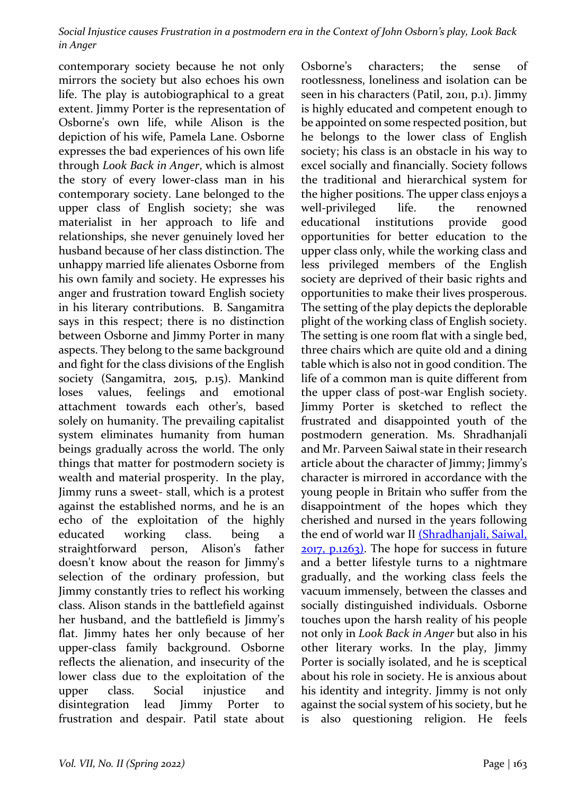Social Injustice causes Frustration in a postmodern era in the Context of John Osborn's play, Look Back *in Anger*

contemporary society because he not only mirrors the society but also echoes his own life. The play is autobiographical to a great extent. Jimmy Porter is the representation of Osborne's own life, while Alison is the depiction of his wife, Pamela Lane. Osborne expresses the bad experiences of his own life through *Look Back in Anger*, which is almost the story of every lower-class man in his contemporary society. Lane belonged to the upper class of English society; she was materialist in her approach to life and relationships, she never genuinely loved her husband because of her class distinction. The unhappy married life alienates Osborne from his own family and society. He expresses his anger and frustration toward English society in his literary contributions. B. Sangamitra says in this respect; there is no distinction between Osborne and Jimmy Porter in many aspects. They belong to the same background and fight for the class divisions of the English society (Sangamitra, 2015, p.15). Mankind loses values, feelings and emotional attachment towards each other's, based solely on humanity. The prevailing capitalist system eliminates humanity from human beings gradually across the world. The only things that matter for postmodern society is wealth and material prosperity. In the play, Jimmy runs a sweet- stall, which is a protest against the established norms, and he is an echo of the exploitation of the highly educated working class. being a straightforward person, Alison's father doesn't know about the reason for Jimmy's selection of the ordinary profession, but Jimmy constantly tries to reflect his working class. Alison stands in the battlefield against her husband, and the battlefield is Jimmy's flat. Jimmy hates her only because of her upper-class family background. Osborne reflects the alienation, and insecurity of the lower class due to the exploitation of the upper class. Social injustice and disintegration lead Jimmy Porter to frustration and despair. Patil state about

Osborne's characters: the sense of rootlessness, loneliness and isolation can be seen in his characters (Patil, 2011, p.1). Jimmy is highly educated and competent enough to be appointed on some respected position, but he belongs to the lower class of English society; his class is an obstacle in his way to excel socially and financially. Society follows the traditional and hierarchical system for the higher positions. The upper class enjoys a well-privileged life. the renowned educational institutions provide good opportunities for better education to the upper class only, while the working class and less privileged members of the English society are deprived of their basic rights and opportunities to make their lives prosperous. The setting of the play depicts the deplorable plight of the working class of English society. The setting is one room flat with a single bed, three chairs which are quite old and a dining table which is also not in good condition. The life of a common man is quite different from the upper class of post-war English society. Jimmy Porter is sketched to reflect the frustrated and disappointed youth of the postmodern generation. Ms. Shradhanjali and Mr. Parveen Saiwal state in their research article about the character of Jimmy; Jimmy's character is mirrored in accordance with the young people in Britain who suffer from the disappointment of the hopes which they cherished and nursed in the years following the end of world war II (Shradhanjali, Saiwal,  $2017$ ,  $p.1263$ ). The hope for success in future and a better lifestyle turns to a nightmare gradually, and the working class feels the vacuum immensely, between the classes and socially distinguished individuals. Osborne touches upon the harsh reality of his people not only in *Look Back in Anger* but also in his other literary works. In the play, Jimmy Porter is socially isolated, and he is sceptical about his role in society. He is anxious about his identity and integrity. Jimmy is not only against the social system of his society, but he is also questioning religion. He feels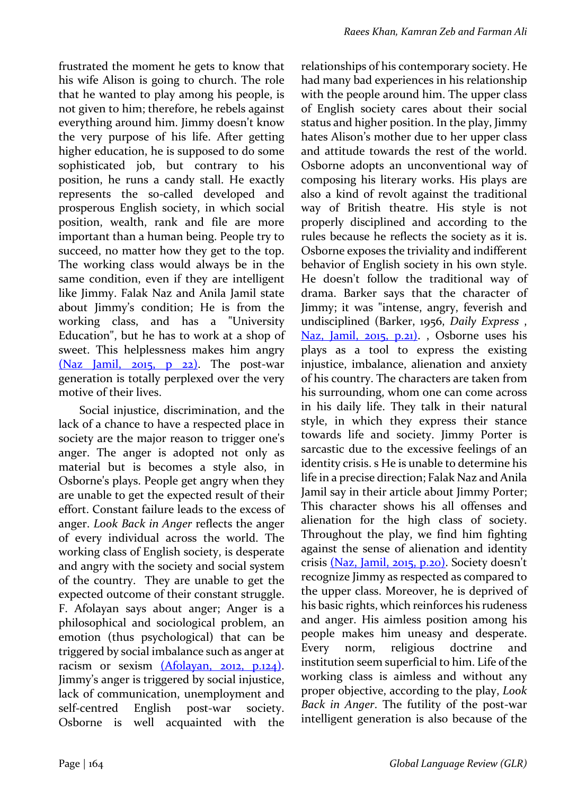frustrated the moment he gets to know that his wife Alison is going to church. The role that he wanted to play among his people, is not given to him; therefore, he rebels against everything around him. Jimmy doesn't know the very purpose of his life. After getting higher education, he is supposed to do some sophisticated job, but contrary to his position, he runs a candy stall. He exactly represents the so-called developed and prosperous English society, in which social position, wealth, rank and file are more important than a human being. People try to succeed, no matter how they get to the top. The working class would always be in the same condition, even if they are intelligent like Jimmy. Falak Naz and Anila Jamil state about Jimmy's condition; He is from the working class, and has a "University Education", but he has to work at a shop of sweet. This helplessness makes him angry  $(Naz$  Jamil,  $2015$ ,  $p$   $22$ ). The post-war generation is totally perplexed over the very motive of their lives.

Social injustice, discrimination, and the lack of a chance to have a respected place in society are the major reason to trigger one's anger. The anger is adopted not only as material but is becomes a style also, in Osborne's plays. People get angry when they are unable to get the expected result of their effort. Constant failure leads to the excess of anger. *Look Back in Anger* reflects the anger of every individual across the world. The working class of English society, is desperate and angry with the society and social system of the country. They are unable to get the expected outcome of their constant struggle. F. Afolayan says about anger; Anger is a philosophical and sociological problem, an emotion (thus psychological) that can be triggered by social imbalance such as anger at racism or sexism (Afolayan, 2012, p.124). Jimmy's anger is triggered by social injustice, lack of communication, unemployment and self-centred English post-war society. Osborne is well acquainted with the relationships of his contemporary society. He had many bad experiences in his relationship with the people around him. The upper class of English society cares about their social status and higher position. In the play, Jimmy hates Alison's mother due to her upper class and attitude towards the rest of the world. Osborne adopts an unconventional way of composing his literary works. His plays are also a kind of revolt against the traditional way of British theatre. His style is not properly disciplined and according to the rules because he reflects the society as it is. Osborne exposes the triviality and indifferent behavior of English society in his own style. He doesn't follow the traditional way of drama. Barker says that the character of Jimmy; it was "intense, angry, feverish and undisciplined (Barker, 1956, *Daily Express* , Naz, Jamil,  $2015$ ,  $p.21$ . Osborne uses his plays as a tool to express the existing injustice, imbalance, alienation and anxiety of his country. The characters are taken from his surrounding, whom one can come across in his daily life. They talk in their natural style, in which they express their stance towards life and society. Jimmy Porter is sarcastic due to the excessive feelings of an identity crisis. s He is unable to determine his life in a precise direction; Falak Naz and Anila Jamil say in their article about Jimmy Porter; This character shows his all offenses and alienation for the high class of society. Throughout the play, we find him fighting against the sense of alienation and identity crisis (Naz, Jamil, 2015, p.20). Society doesn't recognize Jimmy as respected as compared to the upper class. Moreover, he is deprived of his basic rights, which reinforces his rudeness and anger. His aimless position among his people makes him uneasy and desperate. Every norm, religious doctrine and institution seem superficial to him. Life of the working class is aimless and without any proper objective, according to the play, *Look Back in Anger*. The futility of the post-war intelligent generation is also because of the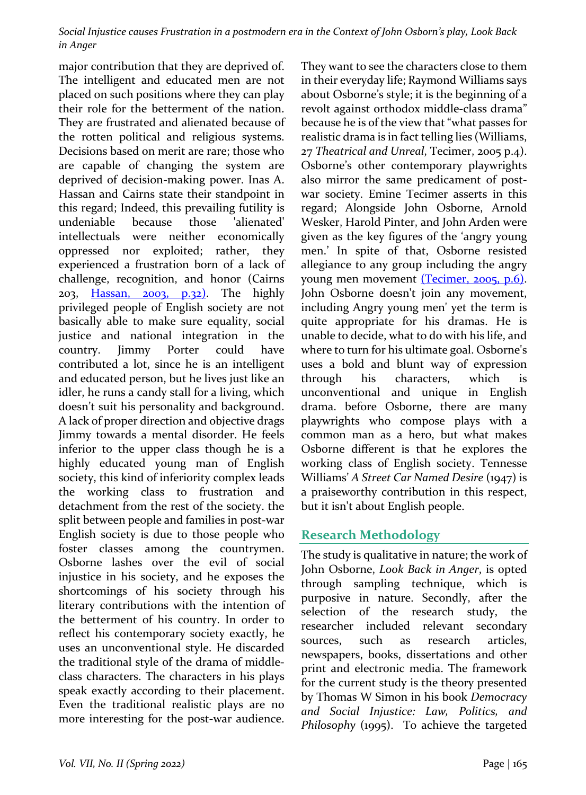Social Injustice causes Frustration in a postmodern era in the Context of John Osborn's play, Look Back *in Anger*

major contribution that they are deprived of. The intelligent and educated men are not placed on such positions where they can play their role for the betterment of the nation. They are frustrated and alienated because of the rotten political and religious systems. Decisions based on merit are rare; those who are capable of changing the system are deprived of decision-making power. Inas A. Hassan and Cairns state their standpoint in this regard; Indeed, this prevailing futility is undeniable because those 'alienated' intellectuals were neither economically oppressed nor exploited; rather, they experienced a frustration born of a lack of challenge, recognition, and honor (Cairns  $203$ , Hassan,  $2003$ ,  $p.32$ ). The highly privileged people of English society are not basically able to make sure equality, social justice and national integration in the country. Jimmy Porter could have contributed a lot, since he is an intelligent and educated person, but he lives just like an idler, he runs a candy stall for a living, which doesn't suit his personality and background. A lack of proper direction and objective drags Jimmy towards a mental disorder. He feels inferior to the upper class though he is a highly educated young man of English society, this kind of inferiority complex leads the working class to frustration and detachment from the rest of the society. the split between people and families in post-war English society is due to those people who foster classes among the countrymen. Osborne lashes over the evil of social injustice in his society, and he exposes the shortcomings of his society through his literary contributions with the intention of the betterment of his country. In order to reflect his contemporary society exactly, he uses an unconventional style. He discarded the traditional style of the drama of middleclass characters. The characters in his plays speak exactly according to their placement. Even the traditional realistic plays are no more interesting for the post-war audience.

They want to see the characters close to them in their everyday life; Raymond Williams says about Osborne's style; it is the beginning of a revolt against orthodox middle-class drama" because he is of the view that "what passes for realistic drama is in fact telling lies (Williams, 27 Theatrical and Unreal, Tecimer, 2005 p.4). Osborne's other contemporary playwrights also mirror the same predicament of postwar society. Emine Tecimer asserts in this regard; Alongside John Osborne, Arnold Wesker, Harold Pinter, and John Arden were given as the key figures of the 'angry young men.' In spite of that, Osborne resisted allegiance to any group including the angry young men movement (Tecimer, 2005, p.6). John Osborne doesn't join any movement, including Angry young men' yet the term is quite appropriate for his dramas. He is unable to decide, what to do with his life, and where to turn for his ultimate goal. Osborne's uses a bold and blunt way of expression through his characters, which is unconventional and unique in English drama. before Osborne, there are many playwrights who compose plays with a common man as a hero, but what makes Osborne different is that he explores the working class of English society. Tennesse Williams' *A Street Car Named Desire* (1947) is a praiseworthy contribution in this respect, but it isn't about English people.

### **Research Methodology**

The study is qualitative in nature; the work of John Osborne, *Look Back in Anger*, is opted through sampling technique, which is purposive in nature. Secondly, after the selection of the research study, the researcher included relevant secondary sources, such as research articles, newspapers, books, dissertations and other print and electronic media. The framework for the current study is the theory presented by Thomas W Simon in his book Democracy *and Social Injustice: Law, Politics, and Philosophy* (1995). To achieve the targeted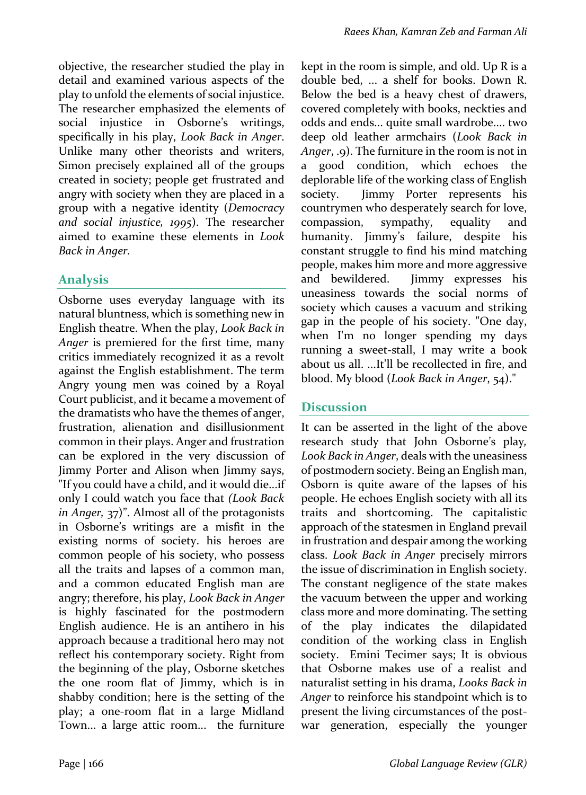objective, the researcher studied the play in detail and examined various aspects of the play to unfold the elements of social injustice. The researcher emphasized the elements of social injustice in Osborne's writings, specifically in his play, *Look Back in Anger*. Unlike many other theorists and writers, Simon precisely explained all of the groups created in society; people get frustrated and angry with society when they are placed in a group with a negative identity (Democracy and social *injustice*, 1995). The researcher aimed to examine these elements in *Look Back in Anger.* 

## **Analysis**

Osborne uses everyday language with its natural bluntness, which is something new in English theatre. When the play, *Look Back in* Anger is premiered for the first time, many critics immediately recognized it as a revolt against the English establishment. The term Angry young men was coined by a Royal Court publicist, and it became a movement of the dramatists who have the themes of anger. frustration, alienation and disillusionment common in their plays. Anger and frustration can be explored in the very discussion of Jimmy Porter and Alison when Jimmy says, "If you could have a child, and it would die...if only I could watch you face that (Look Back *in* Anger, 37)". Almost all of the protagonists in Osborne's writings are a misfit in the existing norms of society. his heroes are common people of his society, who possess all the traits and lapses of a common man, and a common educated English man are angry; therefore, his play, *Look Back in Anger* is highly fascinated for the postmodern English audience. He is an antihero in his approach because a traditional hero may not reflect his contemporary society. Right from the beginning of the play, Osborne sketches the one room flat of Jimmy, which is in shabby condition; here is the setting of the play; a one-room flat in a large Midland Town... a large attic room... the furniture kept in the room is simple, and old. Up  $R$  is a double bed, ... a shelf for books. Down R. Below the bed is a heavy chest of drawers, covered completely with books, neckties and odds and ends... quite small wardrobe.... two deep old leather armchairs (*Look Back in Anger*, .9). The furniture in the room is not in a good condition, which echoes the deplorable life of the working class of English society. Jimmy Porter represents his countrymen who desperately search for love, compassion, sympathy, equality and humanity. Jimmy's failure, despite his constant struggle to find his mind matching people, makes him more and more aggressive and bewildered. Jimmy expresses his uneasiness towards the social norms of society which causes a vacuum and striking gap in the people of his society. "One day, when I'm no longer spending my days running a sweet-stall, I may write a book about us all. ...It'll be recollected in fire, and blood. My blood (*Look Back in Anger*, 54)."

# **Discussion**

It can be asserted in the light of the above research study that John Osborne's play, Look Back in Anger, deals with the uneasiness of postmodern society. Being an English man, Osborn is quite aware of the lapses of his people. He echoes English society with all its traits and shortcoming. The capitalistic approach of the statesmen in England prevail in frustration and despair among the working class. *Look Back in Anger* precisely mirrors the issue of discrimination in English society. The constant negligence of the state makes the vacuum between the upper and working class more and more dominating. The setting of the play indicates the dilapidated condition of the working class in English society. Emini Tecimer says; It is obvious that Osborne makes use of a realist and naturalist setting in his drama, *Looks Back in* Anger to reinforce his standpoint which is to present the living circumstances of the postwar generation, especially the younger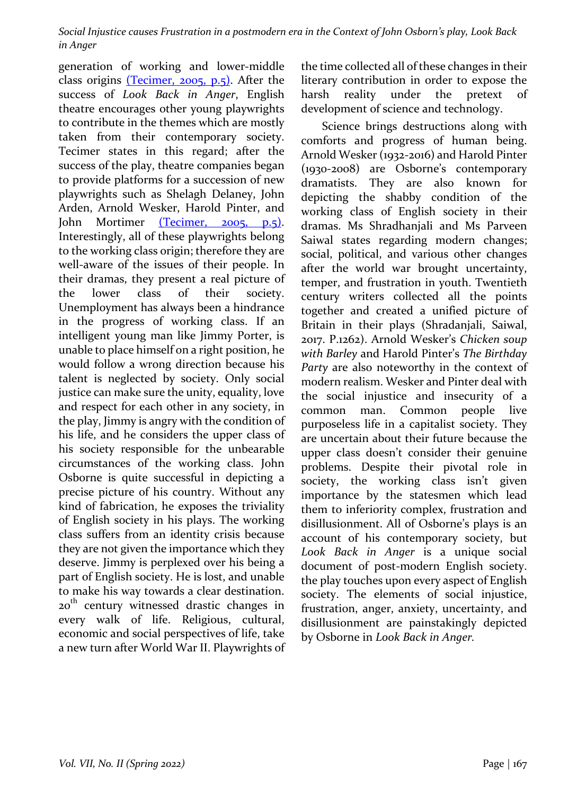Social Injustice causes Frustration in a postmodern era in the Context of John Osborn's play, Look Back *in Anger*

generation of working and lower-middle class origins  $(Tecimer, 2005, p.5)$ . After the success of *Look Back in Anger*, English theatre encourages other young playwrights to contribute in the themes which are mostly taken from their contemporary society. Tecimer states in this regard; after the success of the play, theatre companies began to provide platforms for a succession of new playwrights such as Shelagh Delaney, John Arden, Arnold Wesker, Harold Pinter, and John Mortimer (Tecimer, 2005, p.5). Interestingly, all of these playwrights belong to the working class origin; therefore they are well-aware of the issues of their people. In their dramas, they present a real picture of the lower class of their society. Unemployment has always been a hindrance in the progress of working class. If an intelligent young man like Jimmy Porter, is unable to place himself on a right position, he would follow a wrong direction because his talent is neglected by society. Only social justice can make sure the unity, equality, love and respect for each other in any society, in the play, Jimmy is angry with the condition of his life, and he considers the upper class of his society responsible for the unbearable circumstances of the working class. John Osborne is quite successful in depicting a precise picture of his country. Without any kind of fabrication, he exposes the triviality of English society in his plays. The working class suffers from an identity crisis because they are not given the importance which they deserve. Jimmy is perplexed over his being a part of English society. He is lost, and unable to make his way towards a clear destination. 20<sup>th</sup> century witnessed drastic changes in every walk of life. Religious, cultural, economic and social perspectives of life, take a new turn after World War II. Playwrights of

the time collected all of these changes in their literary contribution in order to expose the harsh reality under the pretext of development of science and technology.

Science brings destructions along with comforts and progress of human being. Arnold Wesker (1932-2016) and Harold Pinter (1930-2008) are Osborne's contemporary dramatists. They are also known for depicting the shabby condition of the working class of English society in their dramas. Ms Shradhanjali and Ms Parveen Saiwal states regarding modern changes; social, political, and various other changes after the world war brought uncertainty, temper, and frustration in youth. Twentieth century writers collected all the points together and created a unified picture of Britain in their plays (Shradanjali, Saiwal, 2017. P.1262). Arnold Wesker's Chicken soup with Barley and Harold Pinter's The Birthday Party are also noteworthy in the context of modern realism. Wesker and Pinter deal with the social injustice and insecurity of a common man. Common people live purposeless life in a capitalist society. They are uncertain about their future because the upper class doesn't consider their genuine problems. Despite their pivotal role in society, the working class isn't given importance by the statesmen which lead them to inferiority complex, frustration and disillusionment. All of Osborne's plays is an account of his contemporary society, but *Look Back in Anger* is a unique social document of post-modern English society. the play touches upon every aspect of English society. The elements of social injustice, frustration, anger, anxiety, uncertainty, and disillusionment are painstakingly depicted by Osborne in *Look Back in Anger.*